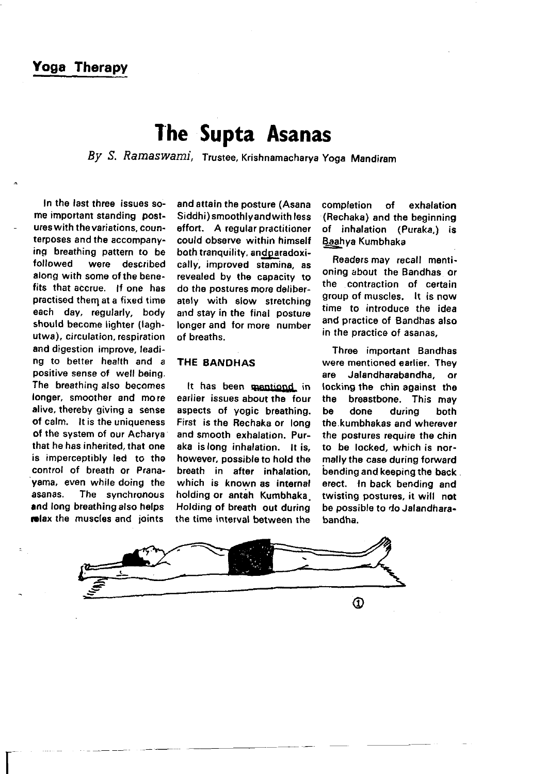## Yoga Therapy

# The Supta Asanas

By S, Ramaswami, Trusree, Krishnamacharya Yoga Mandiram

In the last three issues some important standing postures with the variations, counterposes and the accompanying breathing pattern to be<br>followed were described were described along with some of the benefits that accrue. If one has practised them at a fixed time each day, regularly, body should become lighter (laghutwa), circulation, respiration and digestion improve, leading to better health and a positive sense of well being. The breathing also becomes longer, smoother and mo re alive, thereby giving a sense of calm. lt is the uniqueness of the system of our Acharya that he has inherited, that one is imperceptibly led to the control of breath or Pranayama, even while doing the asanas. The synchronous and long breathing also helps melax the muscles and joints

 $\mathsf{L}^+$ 

and attain the posture (Asana Siddhi) smoothlyandwith less effort. A regular practitioner could observe within himself both tranquility, and paradoxically, improved stamina, as revealed by the capacity to do the postures more deliberately with slow stretching and stay in the final posture longer and tor more number of breaths.

### THE EANOHAS

It has been mantiond in earlier issues about the four aspects of yogic breathing. First is the Rechaka or long and smooth exhalation. Puraka is long inhalation. lt is, however, possible to hold the breath in atter inhalation, which is known as internal holding or antah Kumbhaka Holding of breath out during the time interval between the

completion of exhalation (Rechaka) and the beginning of inhalation (Puraka,) is Baahya Kumbhaka

Readers may recall mentioning about the Bandhas or the contraction of certain group of muscles, lt is now time to introduce the idea and practice of Bandhas also in the practice of asanas,

Three important Bandhas were mentioned earlier. They are Jalandharabandha, or locking the chin against the<br>the breastbone. This may breastbone. This may be done during both the.kumbhakas and wherever the postures require the chin to be locked, which is normally the case during forward bending and keeping the back erect. ln back bending and twisting postures, it will not be possible to do Jalandharabandha.

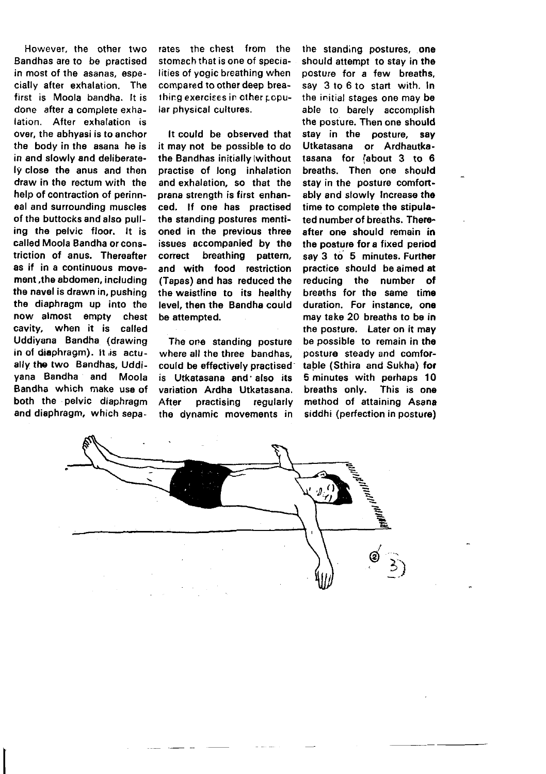However, the other two Bandhas are to be practised in most of the asanas, especially after exhalation. The first is Moola bandha. It is done after a complete exhalation. After exhalation is over, the abhyasi is to anchor the body in the asana he is in and slowly and deliberately closo the anus and then draw in the rectum with the help of contraction of perinneal and surrounding muscles of the buttocks and also pulling the pelvic floor. lt is called Moola Bandha orconstriction of anus. Thereafter as if in a continuous movement,the abdomen, including the navel is drawn in, pushing the diaphragm up into the now almost empty chest cavity, when it is called Uddiyana Bandha (drawing in of diaphragm). It is actually the two Bandhas. Uddiyana Bandha and Moola Bandha which make usa of both the . pelvic diaphragm and diaphragm, which separates the chest from the stomach that is one of specialities of yogic breathing when compared to other deep breathing exercises in other popular physical cultures.

It could be observed that it may not be possible to do the Bandhas initially (without practise of long inhalation and exhalation, so that the prana strength is first enhanced. lf one has practised the standing postures mentioned in the previous three issues accompanied by the correct breathing pattern. and with food restriction (Tapas) and has reduced the the waistline to its healthy level, then the Bandha could be attempted.

The one standing posture where all the three bandhas. could be effectively practised is Utkatasana and'also its variation Ardha Utkatasana. After practising regularly the dynamic movements in

the standing postures, one should attempt to stay in the posture for a few breaths, say 3 to 6 to start with. In the initial stages one may be able to barely accomplish the posture, Then one should stay in the posture, say Utkatasana or Ardhautkatasana for fabout 3 to 6 breaths. Then one should stay in the posture comfortably and slowly lncrease the time to complete the stipulated number of breaths. Thereafter one should remain in the posture for a fixed period say 3 to 5 minutes. Further practice should be aimed at reducing the number of breaths for the same time duration. For instance, one may take 20 breaths to be in the posture. Later on it may be possible to remain in the posture steady and comfortable (Sthira and Sukha) for 5 minutes with perhaps 10 breaths only. This is one method of attaining Asana siddhi (perfection in posture)

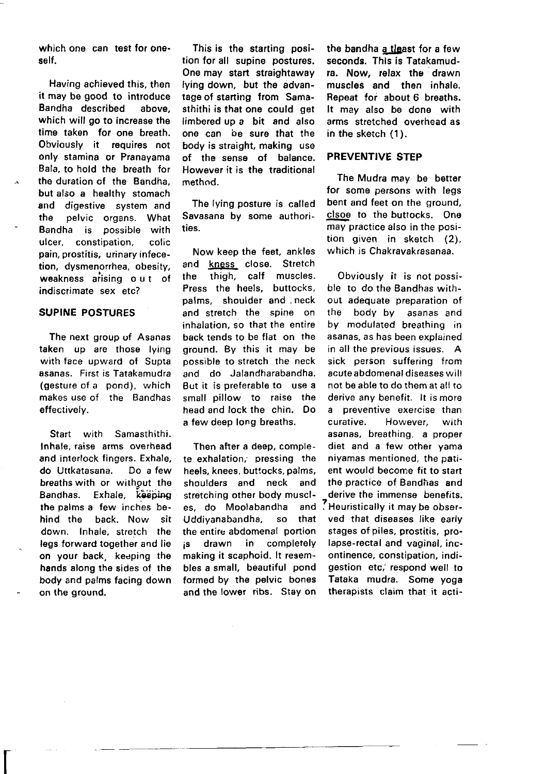which one can test for oneself .

Having achieved this, then it may be good to introduce Bandha described above. which will go to increase the time taken for one breath. Obviously it requires not only stamina or Pranayama Bala, to hold the breath for the duration cf the Bandha, but also a healthy stomach and digestive system and the pelvic organs. What Bandha is possible with ulcer, constipation, colic pain, prostitis, urinary infecetion, dysmenorrhea, obesity, weakness arising out of indiscrimate sex etc?

#### SUPINE POSTURES

The next group of Asanas taken up are those lying with face upward of Supta asanas. First is Tatakamudra (gesture of a pond), which makes use of the Bandhas effectively.

Start with Samasthithi. Inhale, raise arms overhead and interlock fingers. Exhale. do Uttkatasana. Do a few breaths with or without the Bandhas. Exhale, keeping the palms a few lnches behind the back. Now sit down. Inhale, stretch the legs forward together and lie on your back, keeping the hands along the sides of the body and palms facing down on the ground.

I

This is the starting position for all supine postures. One may start straightaway lying down, but the advantage of starting from Samasthithi is that one could get limbered up a bit and also one can be sure that the body is straight, making use of the sense of balance. However it is the traditional method.

The lying posture is called Savasana by some authorities.

Now keep the feet, ankles and kness close. Stretch<br>the thigh, calf muscles. thigh, calf muscles. Press the heels, buttocks, palms, shoulder and . neck and stretch the spine on inhalation. so that the entire back tends to be flat on the ground. By this it may be possible to stretch the neck and do Jalandharabandha. But it is preferable to use a small pillow to raise the head and lock the chin. Do a few deep long breaths.

te exhalation; pressing the niyamas mentioned, the pati-<br>heels knees buttocks palms, ent would become fit to start heels, knees, buttocks, palms, shoulders and neck and the practice of Bandhas and<br>stretching other body muscl- derive the immense benefits. stretching other body muscl- \_ derive the immense benefits.<br>es. do Moolabandha and ? Heuristically it may be obser-Uddiyanabandha, so that ved that diseases like early the entire abdomenal portion stages of piles, prostitis, pro- ;s drawn in completely lapse-rectal and vaginal, incbles a small, beautiful pond gestion etc, respond well to formed by the pelvic bones Tataka mudra. Some yoga and the lower ribs. Stay on therapists claim that it acti-

the bandha a tleast for a few seconds. This is Tatakamudra. Now, relax the drawn muscles and then inhalo. Repeat for about 6 breaths. It may also be done with arms stretched overhead as in the sketch (1).

#### PREVENTIVE STEP

The Mudra may be better for some persons with legs bent and feet on the ground, clsoe to the buttocks. One may practice also in the position given in sketch (2), which is Chakravakrasanaa

obviously it is not possible to do the Bandhas without adequate preparation of the body by asanas and by modulated breathing in asanas, as has been explained in all the orevious issues. A sick person suffering from acute abdomenal diseases will not be able to do them at all to derive any benefit. It is more a preventive exercise than curative. However, with asanas, breathing. a proper Then after a deep, comple- diet and a few other yama Heuristically it may be obserontinence, constipation, indi-Tataka mudra. Some yoga